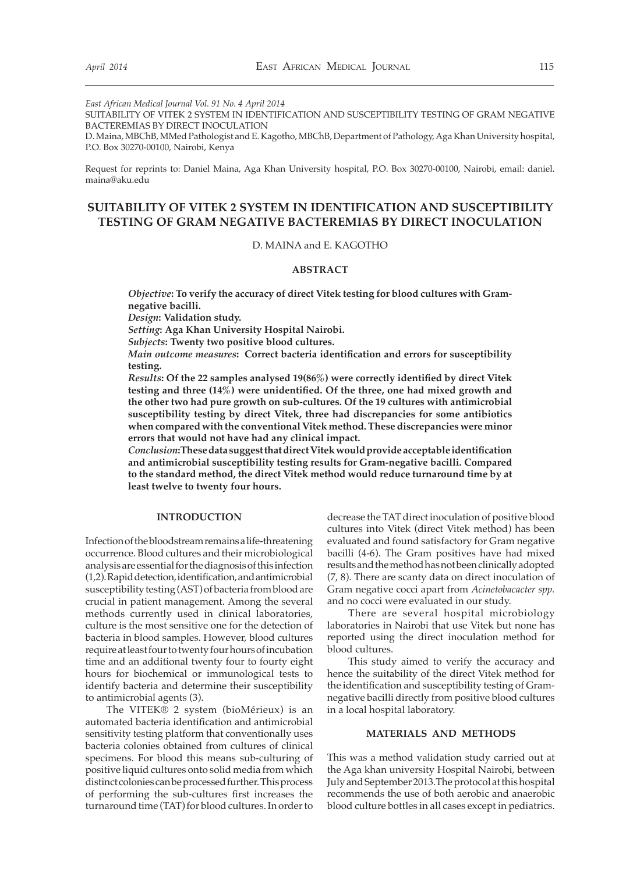*East African Medical Journal Vol. 91 No. 4 April 2014*

SUITABILITY OF VITEK 2 SYSTEM IN IDENTIFICATION AND SUSCEPTIBILITY TESTING OF GRAM NEGATIVE BACTEREMIAS BY DIRECT INOCULATION

D. Maina, MBChB, MMed Pathologist and E. Kagotho, MBChB, Department of Pathology, Aga Khan University hospital, P.O. Box 30270-00100, Nairobi, Kenya

Request for reprints to: Daniel Maina, Aga Khan University hospital, P.O. Box 30270-00100, Nairobi, email: daniel. maina@aku.edu

# **SUITABILITY OF VITEK 2 SYSTEM IN IDENTIFICATION AND SUSCEPTIBILITY TESTING OF GRAM NEGATIVE BACTEREMIAS BY DIRECT INOCULATION**

# D. MAINA and E. KAGOTHO

#### **ABSTRACT**

*Objective***: To verify the accuracy of direct Vitek testing for blood cultures with Gramnegative bacilli.**

*Design***: Validation study.**

*Setting***: Aga Khan University Hospital Nairobi.**

*Subjects***: Twenty two positive blood cultures.**

*Main outcome measures***: Correct bacteria identification and errors for susceptibility testing.**

*Results***: Of the 22 samples analysed 19(86%) were correctly identified by direct Vitek testing and three (14%) were unidentified. Of the three, one had mixed growth and the other two had pure growth on sub-cultures. Of the 19 cultures with antimicrobial susceptibility testing by direct Vitek, three had discrepancies for some antibiotics when compared with the conventional Vitek method. These discrepancies were minor errors that would not have had any clinical impact.**

*Conclusion***:These data suggest that direct Vitek would provide acceptable identification and antimicrobial susceptibility testing results for Gram-negative bacilli. Compared to the standard method, the direct Vitek method would reduce turnaround time by at least twelve to twenty four hours.**

#### **INTRODUCTION**

Infection of the bloodstream remains a life-threatening occurrence. Blood cultures and their microbiological analysis are essential for the diagnosis of this infection (1,2). Rapid detection, identification, and antimicrobial susceptibility testing (AST) of bacteria from blood are crucial in patient management. Among the several methods currently used in clinical laboratories, culture is the most sensitive one for the detection of bacteria in blood samples. However, blood cultures require at least four to twenty four hours of incubation time and an additional twenty four to fourty eight hours for biochemical or immunological tests to identify bacteria and determine their susceptibility to antimicrobial agents (3).

The VITEK® 2 system (bioMérieux) is an automated bacteria identification and antimicrobial sensitivity testing platform that conventionally uses bacteria colonies obtained from cultures of clinical specimens. For blood this means sub-culturing of positive liquid cultures onto solid media from which distinct colonies can be processed further. This process of performing the sub-cultures first increases the turnaround time (TAT) for blood cultures. In order to

decrease the TAT direct inoculation of positive blood cultures into Vitek (direct Vitek method) has been evaluated and found satisfactory for Gram negative bacilli (4-6). The Gram positives have had mixed results and the method has not been clinically adopted (7, 8). There are scanty data on direct inoculation of Gram negative cocci apart from *Acinetobacacter spp.*  and no cocci were evaluated in our study.

There are several hospital microbiology laboratories in Nairobi that use Vitek but none has reported using the direct inoculation method for blood cultures.

This study aimed to verify the accuracy and hence the suitability of the direct Vitek method for the identification and susceptibility testing of Gramnegative bacilli directly from positive blood cultures in a local hospital laboratory.

## **MATERIALS AND METHODS**

This was a method validation study carried out at the Aga khan university Hospital Nairobi, between July and September 2013.The protocol at this hospital recommends the use of both aerobic and anaerobic blood culture bottles in all cases except in pediatrics.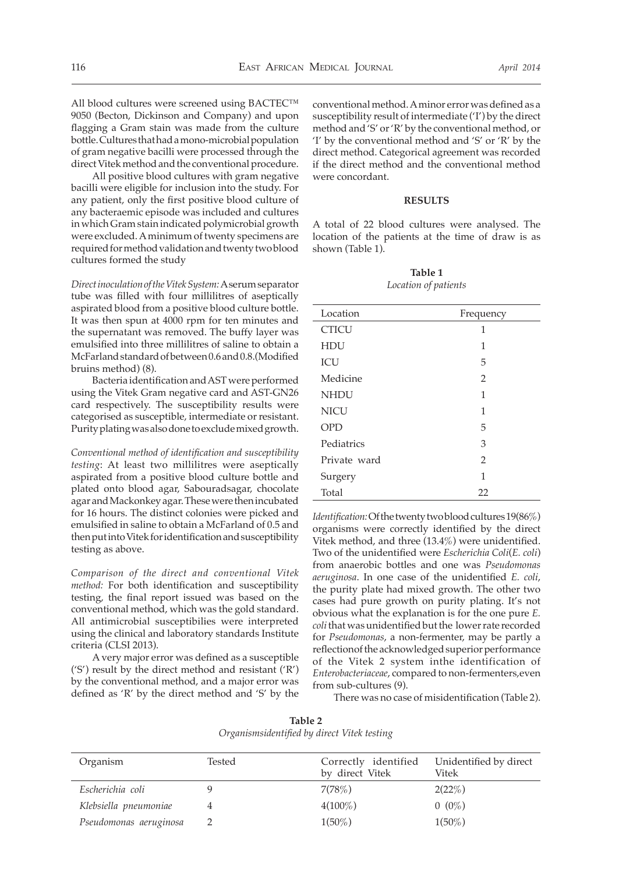All blood cultures were screened using BACTEC™ 9050 (Becton, Dickinson and Company) and upon flagging a Gram stain was made from the culture bottle. Cultures that had a mono-microbial population of gram negative bacilli were processed through the direct Vitek method and the conventional procedure.

All positive blood cultures with gram negative bacilli were eligible for inclusion into the study. For any patient, only the first positive blood culture of any bacteraemic episode was included and cultures in which Gram stain indicated polymicrobial growth were excluded. A minimum of twenty specimens are required for method validation and twenty two blood cultures formed the study

*Direct inoculation of the Vitek System:* A serum separator tube was filled with four millilitres of aseptically aspirated blood from a positive blood culture bottle. It was then spun at 4000 rpm for ten minutes and the supernatant was removed. The buffy layer was emulsified into three millilitres of saline to obtain a McFarland standard of between 0.6 and 0.8.(Modified bruins method) (8).

Bacteria identification and AST were performed using the Vitek Gram negative card and AST-GN26 card respectively. The susceptibility results were categorised as susceptible, intermediate or resistant. Purity plating was also done to exclude mixed growth.

*Conventional method of identification and susceptibility testing*: At least two millilitres were aseptically aspirated from a positive blood culture bottle and plated onto blood agar, Sabouradsagar, chocolate agar and Mackonkey agar. These were then incubated for 16 hours. The distinct colonies were picked and emulsified in saline to obtain a McFarland of 0.5 and then put into Vitek for identification and susceptibility testing as above.

*Comparison of the direct and conventional Vitek method:* For both identification and susceptibility testing, the final report issued was based on the conventional method, which was the gold standard. All antimicrobial susceptibilies were interpreted using the clinical and laboratory standards Institute criteria (CLSI 2013).

A very major error was defined as a susceptible ('S') result by the direct method and resistant ('R') by the conventional method, and a major error was defined as 'R' by the direct method and 'S' by the

conventional method. A minor error was defined as a susceptibility result of intermediate ('I') by the direct method and 'S' or 'R' by the conventional method, or 'I' by the conventional method and 'S' or 'R' by the direct method. Categorical agreement was recorded if the direct method and the conventional method were concordant.

#### **RESULTS**

A total of 22 blood cultures were analysed. The location of the patients at the time of draw is as shown (Table 1).

**Table 1** *Location of patients*

| Location     | Frequency      |
|--------------|----------------|
| <b>CTICU</b> | 1              |
| <b>HDU</b>   | 1              |
| ICU          | 5              |
| Medicine     | $\overline{2}$ |
| <b>NHDU</b>  | 1              |
| <b>NICU</b>  | 1              |
| <b>OPD</b>   | 5              |
| Pediatrics   | 3              |
| Private ward | $\overline{2}$ |
| Surgery      | 1              |
| Total        | 22             |

*Identification:* Of the twenty two blood cultures 19(86%) organisms were correctly identified by the direct Vitek method, and three (13.4%) were unidentified. Two of the unidentified were *Escherichia Coli*(*E. coli*) from anaerobic bottles and one was *Pseudomonas aeruginosa*. In one case of the unidentified *E. coli*, the purity plate had mixed growth. The other two cases had pure growth on purity plating. It's not obvious what the explanation is for the one pure *E. coli* that was unidentified but the lower rate recorded for *Pseudomonas*, a non-fermenter, may be partly a reflectionof the acknowledged superior performance of the Vitek 2 system inthe identification of *Enterobacteriaceae*, compared to non-fermenters,even from sub-cultures (9).

There was no case of misidentification (Table 2).

**Table 2**  *Organismsidentified by direct Vitek testing*

| Organism               | Tested | Correctly identified<br>by direct Vitek | Unidentified by direct<br>Vitek |
|------------------------|--------|-----------------------------------------|---------------------------------|
| Escherichia coli       |        | 7(78%)                                  | 2(22%)                          |
| Klebsiella pneumoniae  |        | $4(100\%)$                              | $0(0\%)$                        |
| Pseudomonas aeruginosa |        | $1(50\%)$                               | $1(50\%)$                       |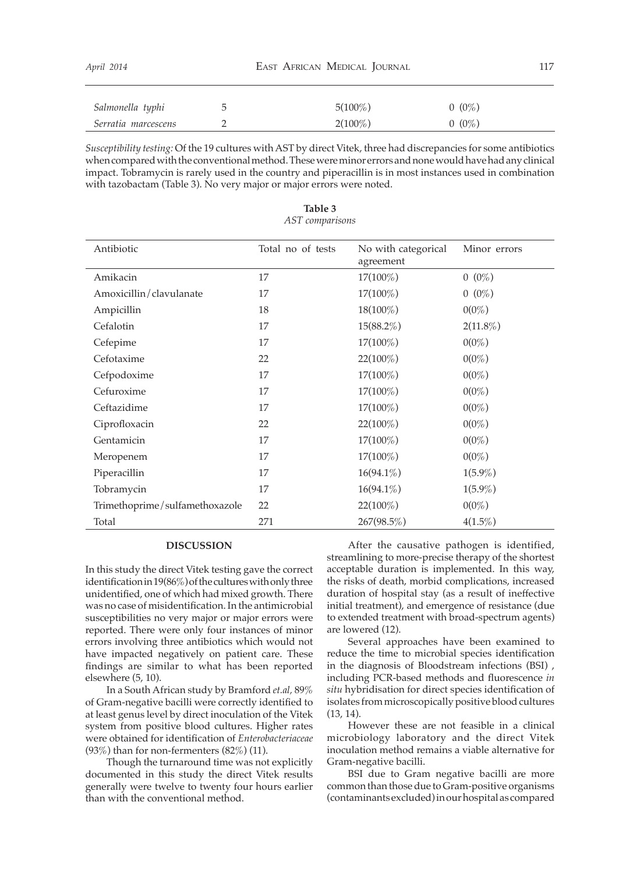| April 2014          |   | EAST AFRICAN MEDICAL JOURNAL |          |  |
|---------------------|---|------------------------------|----------|--|
| Salmonella typhi    | C | $5(100\%)$                   | $0(0\%)$ |  |
| Serratia marcescens |   | $2(100\%)$                   | $0(0\%)$ |  |

*Susceptibility testing:* Of the 19 cultures with AST by direct Vitek, three had discrepancies for some antibiotics when compared with the conventional method. These were minor errors and none would have had any clinical impact. Tobramycin is rarely used in the country and piperacillin is in most instances used in combination with tazobactam (Table 3). No very major or major errors were noted.

| Antibiotic                     | Total no of tests | No with categorical | Minor errors |
|--------------------------------|-------------------|---------------------|--------------|
|                                |                   | agreement           |              |
| Amikacin                       | 17                | $17(100\%)$         | $0(0\%)$     |
| Amoxicillin/clavulanate        | 17                | 17(100%)            | $0(0\%)$     |
| Ampicillin                     | 18                | 18(100%)            | $0(0\%)$     |
| Cefalotin                      | 17                | $15(88.2\%)$        | $2(11.8\%)$  |
| Cefepime                       | 17                | 17(100%)            | $0(0\%)$     |
| Cefotaxime                     | 22                | 22(100%)            | $0(0\%)$     |
| Cefpodoxime                    | 17                | $17(100\%)$         | $0(0\%)$     |
| Cefuroxime                     | 17                | $17(100\%)$         | $0(0\%)$     |
| Ceftazidime                    | 17                | 17(100%)            | $0(0\%)$     |
| Ciprofloxacin                  | 22                | $22(100\%)$         | $0(0\%)$     |
| Gentamicin                     | 17                | $17(100\%)$         | $0(0\%)$     |
| Meropenem                      | 17                | 17(100%)            | $0(0\%)$     |
| Piperacillin                   | 17                | $16(94.1\%)$        | $1(5.9\%)$   |
| Tobramycin                     | 17                | $16(94.1\%)$        | $1(5.9\%)$   |
| Trimethoprime/sulfamethoxazole | 22                | 22(100%)            | $0(0\%)$     |
| Total                          | 271               | 267(98.5%)          | $4(1.5\%)$   |

**Table 3** *AST comparisons* 

# **DISCUSSION**

In this study the direct Vitek testing gave the correct identification in 19(86%) of the cultures with only three unidentified, one of which had mixed growth. There was no case of misidentification. In the antimicrobial susceptibilities no very major or major errors were reported. There were only four instances of minor errors involving three antibiotics which would not have impacted negatively on patient care. These findings are similar to what has been reported elsewhere (5, 10).

In a South African study by Bramford *et.al,* 89% of Gram-negative bacilli were correctly identified to at least genus level by direct inoculation of the Vitek system from positive blood cultures. Higher rates were obtained for identification of *Enterobacteriaceae* (93%) than for non-fermenters  $(82\%)$  (11).

Though the turnaround time was not explicitly documented in this study the direct Vitek results generally were twelve to twenty four hours earlier than with the conventional method.

After the causative pathogen is identified, streamlining to more-precise therapy of the shortest acceptable duration is implemented. In this way, the risks of death, morbid complications, increased duration of hospital stay (as a result of ineffective initial treatment), and emergence of resistance (due to extended treatment with broad-spectrum agents) are lowered (12).

Several approaches have been examined to reduce the time to microbial species identification in the diagnosis of Bloodstream infections (BSI) , including PCR-based methods and fluorescence *in situ* hybridisation for direct species identification of isolates from microscopically positive blood cultures (13, 14).

However these are not feasible in a clinical microbiology laboratory and the direct Vitek inoculation method remains a viable alternative for Gram-negative bacilli.

BSI due to Gram negative bacilli are more common than those due to Gram-positive organisms (contaminants excluded) in our hospital as compared